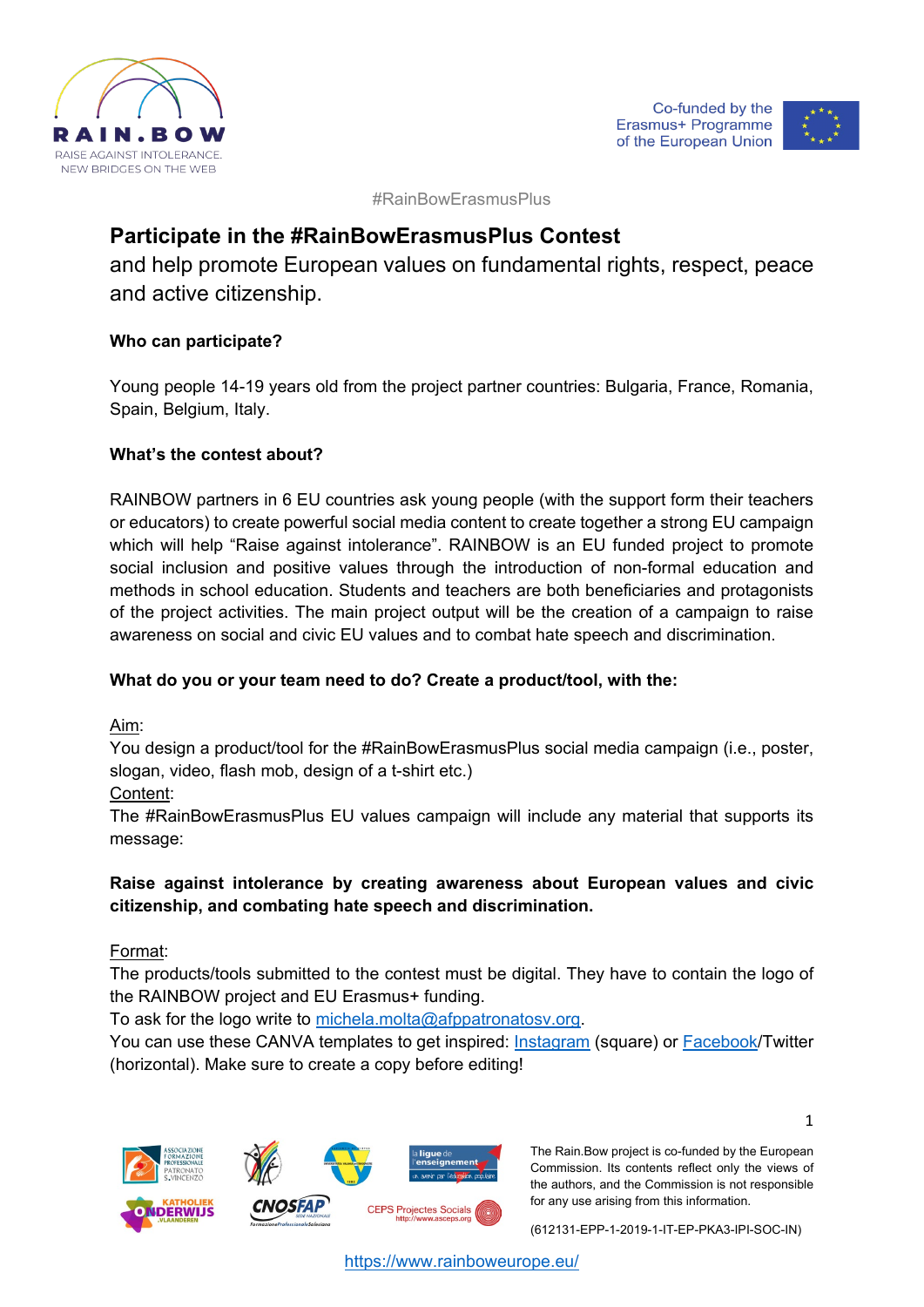



#RainBowErasmusPlus

# **Participate in the #RainBowErasmusPlus Contest**

and help promote European values on fundamental rights, respect, peace and active citizenship.

# **Who can participate?**

Young people 14-19 years old from the project partner countries: Bulgaria, France, Romania, Spain, Belgium, Italy.

# **What's the contest about?**

RAINBOW partners in 6 EU countries ask young people (with the support form their teachers or educators) to create powerful social media content to create together a strong EU campaign which will help "Raise against intolerance". RAINBOW is an EU funded project to promote social inclusion and positive values through the introduction of non-formal education and methods in school education. Students and teachers are both beneficiaries and protagonists of the project activities. The main project output will be the creation of a campaign to raise awareness on social and civic EU values and to combat hate speech and discrimination.

# **What do you or your team need to do? Create a product/tool, with the:**

Aim:

You design a product/tool for the #RainBowErasmusPlus social media campaign (i.e., poster, slogan, video, flash mob, design of a t-shirt etc.)

Content:

The #RainBowErasmusPlus EU values campaign will include any material that supports its message:

# **Raise against intolerance by creating awareness about European values and civic citizenship, and combating hate speech and discrimination.**

Format:

The products/tools submitted to the contest must be digital. They have to contain the logo of the RAINBOW project and EU Erasmus+ funding.

To ask for the logo write to [michela.molta@afppatronatosv.org.](http://michela.molta@afppatronatosv.org)

You can use these CANVA templates to get inspired: [Instagram](https://www.canva.com/design/DAEyCNqkxxg/share/preview?token=w6A0T38yM4o8MXq2SHN4wA&role=EDITOR&utm_content=DAEyCNqkxxg&utm_campaign=designshare&utm_medium=link&utm_source=sharebutton) (square) or [Facebook/](https://www.canva.com/design/DAEyCgM50ck/share/preview?token=OAlAuoPk4cgLcVnUBTZsFg&role=EDITOR&utm_content=DAEyCgM50ck&utm_campaign=designshare&utm_medium=link&utm_source=sharebutton)Twitter (horizontal). Make sure to create a copy before editing!







The Rain.Bow project is co-funded by the European Commission. Its contents reflect only the views of the authors, and the Commission is not responsible for any use arising from this information.

(612131-EPP-1-2019-1-IT-EP-PKA3-IPI-SOC-IN)

<https://www.rainboweurope.eu/>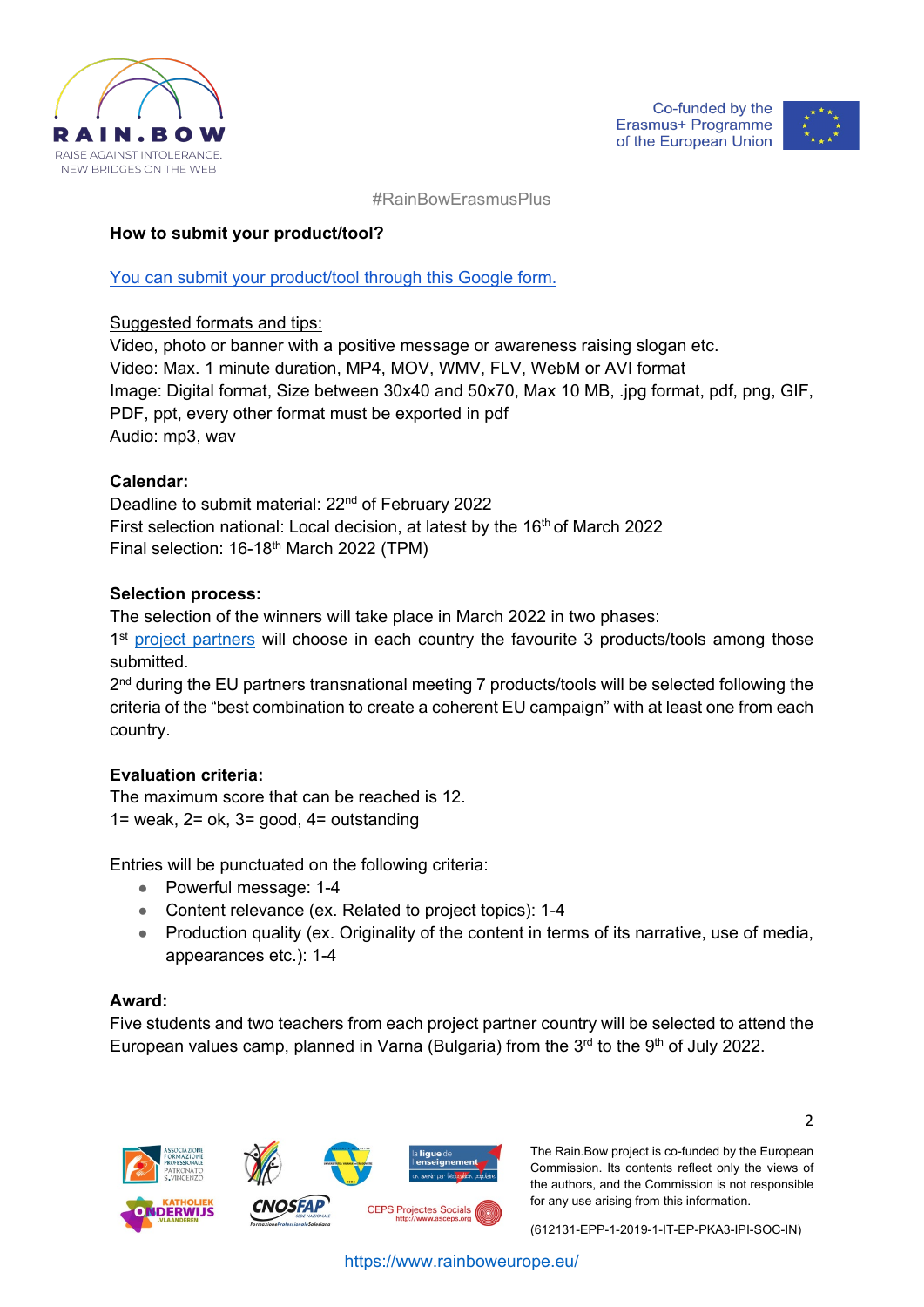



#RainBowErasmusPlus

## **How to submit your product/tool?**

## [You can submit your product/tool through this Google form.](https://docs.google.com/forms/d/1M8Kvw-VNm_TCuiE_kASeZD-DUPDHUeJsD6LrV1GBdaY/edit)

#### Suggested formats and tips:

Video, photo or banner with a positive message or awareness raising slogan etc. Video: Max. 1 minute duration, MP4, MOV, WMV, FLV, WebM or AVI format Image: Digital format, Size between 30x40 and 50x70, Max 10 MB, .jpg format, pdf, png, GIF, PDF, ppt, every other format must be exported in pdf Audio: mp3, wav

## **Calendar:**

Deadline to submit material: 22<sup>nd</sup> of February 2022 First selection national: Local decision, at latest by the 16<sup>th</sup> of March 2022 Final selection: 16-18<sup>th</sup> March 2022 (TPM)

#### **Selection process:**

The selection of the winners will take place in March 2022 in two phases:

1<sup>st</sup> [project partners](https://www.rainboweurope.eu/partners) will choose in each country the favourite 3 products/tools among those submitted.

2<sup>nd</sup> during the EU partners transnational meeting 7 products/tools will be selected following the criteria of the "best combination to create a coherent EU campaign" with at least one from each country.

## **Evaluation criteria:**

The maximum score that can be reached is 12. 1= weak, 2= ok, 3= good, 4= outstanding

Entries will be punctuated on the following criteria:

- Powerful message: 1-4
- Content relevance (ex. Related to project topics): 1-4
- Production quality (ex. Originality of the content in terms of its narrative, use of media, appearances etc.): 1-4

## **Award:**

Five students and two teachers from each project partner country will be selected to attend the European values camp, planned in Varna (Bulgaria) from the  $3<sup>rd</sup>$  to the  $9<sup>th</sup>$  of July 2022.



The Rain.Bow project is co-funded by the European Commission. Its contents reflect only the views of the authors, and the Commission is not responsible for any use arising from this information.

(612131-EPP-1-2019-1-IT-EP-PKA3-IPI-SOC-IN)

2